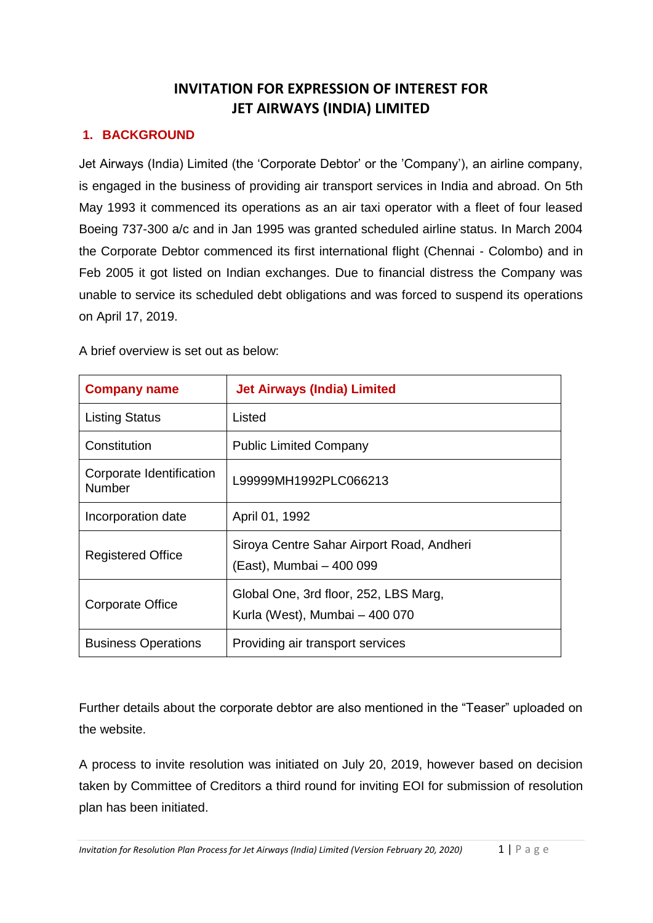# **INVITATION FOR EXPRESSION OF INTEREST FOR JET AIRWAYS (INDIA) LIMITED**

# **1. BACKGROUND**

Jet Airways (India) Limited (the 'Corporate Debtor' or the 'Company'), an airline company, is engaged in the business of providing air transport services in India and abroad. On 5th May 1993 it commenced its operations as an air taxi operator with a fleet of four leased Boeing 737-300 a/c and in Jan 1995 was granted scheduled airline status. In March 2004 the Corporate Debtor commenced its first international flight (Chennai - Colombo) and in Feb 2005 it got listed on Indian exchanges. Due to financial distress the Company was unable to service its scheduled debt obligations and was forced to suspend its operations on April 17, 2019.

A brief overview is set out as below:

| <b>Company name</b>                       | <b>Jet Airways (India) Limited</b>                                      |
|-------------------------------------------|-------------------------------------------------------------------------|
| <b>Listing Status</b>                     | Listed                                                                  |
| Constitution                              | <b>Public Limited Company</b>                                           |
| Corporate Identification<br><b>Number</b> | L99999MH1992PLC066213                                                   |
| Incorporation date                        | April 01, 1992                                                          |
| <b>Registered Office</b>                  | Siroya Centre Sahar Airport Road, Andheri<br>(East), Mumbai - 400 099   |
| Corporate Office                          | Global One, 3rd floor, 252, LBS Marg,<br>Kurla (West), Mumbai - 400 070 |
| <b>Business Operations</b>                | Providing air transport services                                        |

Further details about the corporate debtor are also mentioned in the "Teaser" uploaded on the website.

A process to invite resolution was initiated on July 20, 2019, however based on decision taken by Committee of Creditors a third round for inviting EOI for submission of resolution plan has been initiated.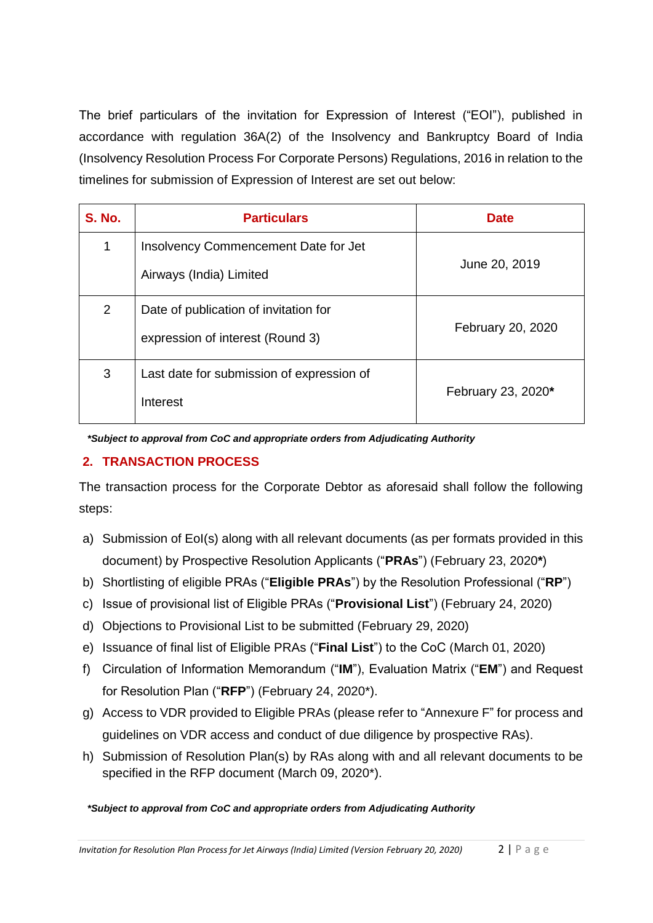The brief particulars of the invitation for Expression of Interest ("EOI"), published in accordance with regulation 36A(2) of the Insolvency and Bankruptcy Board of India (Insolvency Resolution Process For Corporate Persons) Regulations, 2016 in relation to the timelines for submission of Expression of Interest are set out below:

| <b>S. No.</b> | <b>Particulars</b>                                                        | <b>Date</b>        |
|---------------|---------------------------------------------------------------------------|--------------------|
| $\mathbf 1$   | Insolvency Commencement Date for Jet<br>Airways (India) Limited           | June 20, 2019      |
| 2             | Date of publication of invitation for<br>expression of interest (Round 3) | February 20, 2020  |
| 3             | Last date for submission of expression of<br>Interest                     | February 23, 2020* |

*\*Subject to approval from CoC and appropriate orders from Adjudicating Authority*

# **2. TRANSACTION PROCESS**

The transaction process for the Corporate Debtor as aforesaid shall follow the following steps:

- a) Submission of EoI(s) along with all relevant documents (as per formats provided in this document) by Prospective Resolution Applicants ("**PRAs**") (February 23, 2020**\***)
- b) Shortlisting of eligible PRAs ("**Eligible PRAs**") by the Resolution Professional ("**RP**")
- c) Issue of provisional list of Eligible PRAs ("**Provisional List**") (February 24, 2020)
- d) Objections to Provisional List to be submitted (February 29, 2020)
- e) Issuance of final list of Eligible PRAs ("**Final List**") to the CoC (March 01, 2020)
- f) Circulation of Information Memorandum ("**IM**"), Evaluation Matrix ("**EM**") and Request for Resolution Plan ("**RFP**") (February 24, 2020\*).
- g) Access to VDR provided to Eligible PRAs (please refer to "Annexure F" for process and guidelines on VDR access and conduct of due diligence by prospective RAs).
- h) Submission of Resolution Plan(s) by RAs along with and all relevant documents to be specified in the RFP document (March 09, 2020\*).

#### *\*Subject to approval from CoC and appropriate orders from Adjudicating Authority*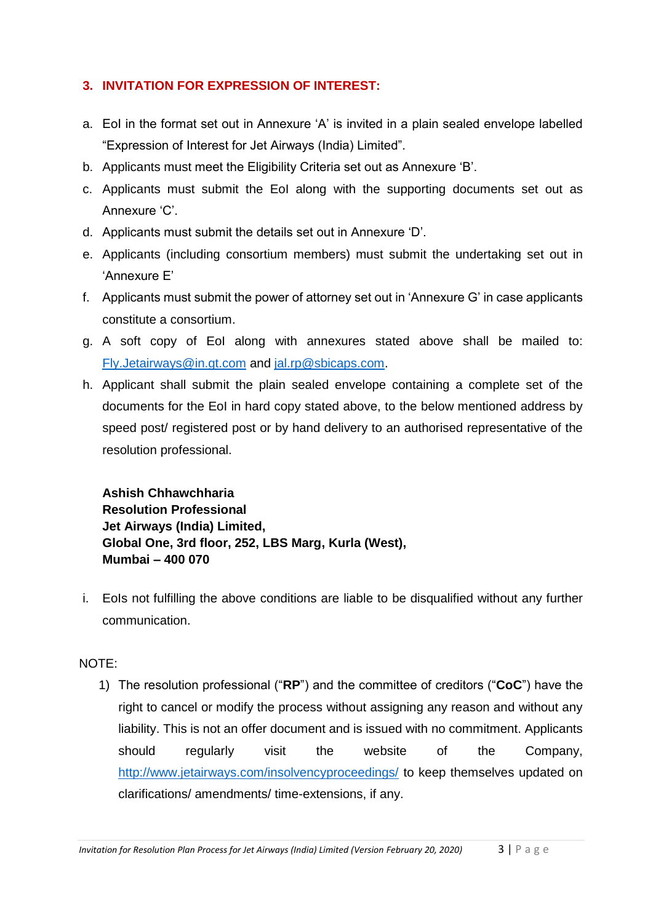# **3. INVITATION FOR EXPRESSION OF INTEREST:**

- a. EoI in the format set out in Annexure 'A' is invited in a plain sealed envelope labelled "Expression of Interest for Jet Airways (India) Limited".
- b. Applicants must meet the Eligibility Criteria set out as Annexure 'B'.
- c. Applicants must submit the EoI along with the supporting documents set out as Annexure 'C'.
- d. Applicants must submit the details set out in Annexure 'D'.
- e. Applicants (including consortium members) must submit the undertaking set out in 'Annexure E'
- f. Applicants must submit the power of attorney set out in 'Annexure G' in case applicants constitute a consortium.
- g. A soft copy of EoI along with annexures stated above shall be mailed to: [Fly.Jetairways@in.gt.com](mailto:Fly.Jetairways@in.gt.com) and [jal.rp@sbicaps.com.](mailto:jal.rp@sbicaps.com)
- h. Applicant shall submit the plain sealed envelope containing a complete set of the documents for the EoI in hard copy stated above, to the below mentioned address by speed post/ registered post or by hand delivery to an authorised representative of the resolution professional.

**Ashish Chhawchharia Resolution Professional Jet Airways (India) Limited, Global One, 3rd floor, 252, LBS Marg, Kurla (West), Mumbai – 400 070**

i. EoIs not fulfilling the above conditions are liable to be disqualified without any further communication.

# NOTE:

1) The resolution professional ("**RP**") and the committee of creditors ("**CoC**") have the right to cancel or modify the process without assigning any reason and without any liability. This is not an offer document and is issued with no commitment. Applicants should regularly visit the website of the Company, <http://www.jetairways.com/insolvencyproceedings/> to keep themselves updated on clarifications/ amendments/ time-extensions, if any.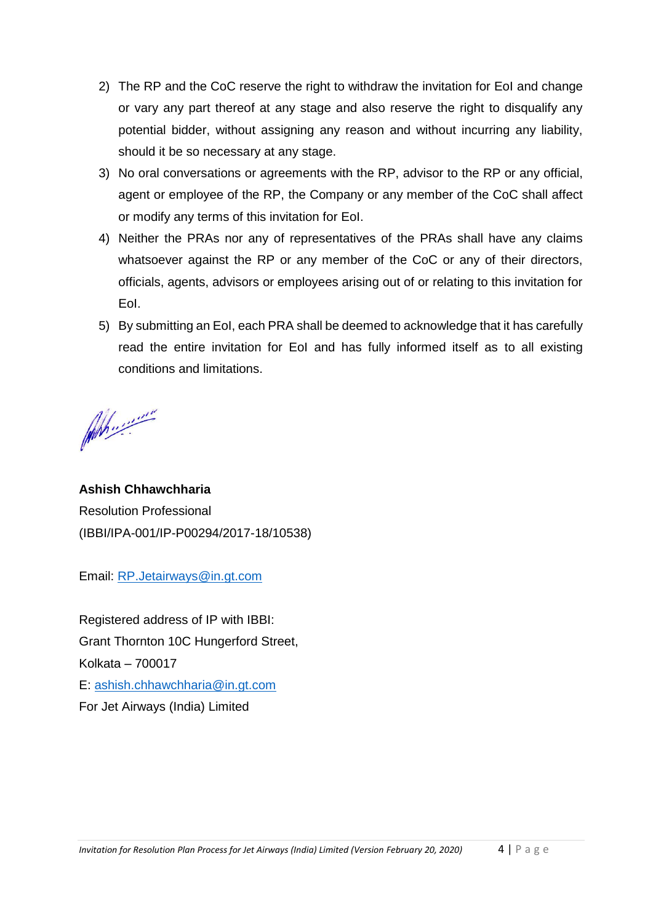- 2) The RP and the CoC reserve the right to withdraw the invitation for EoI and change or vary any part thereof at any stage and also reserve the right to disqualify any potential bidder, without assigning any reason and without incurring any liability, should it be so necessary at any stage.
- 3) No oral conversations or agreements with the RP, advisor to the RP or any official, agent or employee of the RP, the Company or any member of the CoC shall affect or modify any terms of this invitation for EoI.
- 4) Neither the PRAs nor any of representatives of the PRAs shall have any claims whatsoever against the RP or any member of the CoC or any of their directors, officials, agents, advisors or employees arising out of or relating to this invitation for EoI.
- 5) By submitting an EoI, each PRA shall be deemed to acknowledge that it has carefully read the entire invitation for EoI and has fully informed itself as to all existing conditions and limitations.

Ah .........

**Ashish Chhawchharia** Resolution Professional (IBBI/IPA-001/IP-P00294/2017-18/10538)

Email: [RP.Jetairways@in.gt.com](mailto:RP.Jetairways@in.gt.com)

Registered address of IP with IBBI: Grant Thornton 10C Hungerford Street, Kolkata – 700017 E: [ashish.chhawchharia@in.gt.com](mailto:ashish.chhawchharia@in.gt.com) For Jet Airways (India) Limited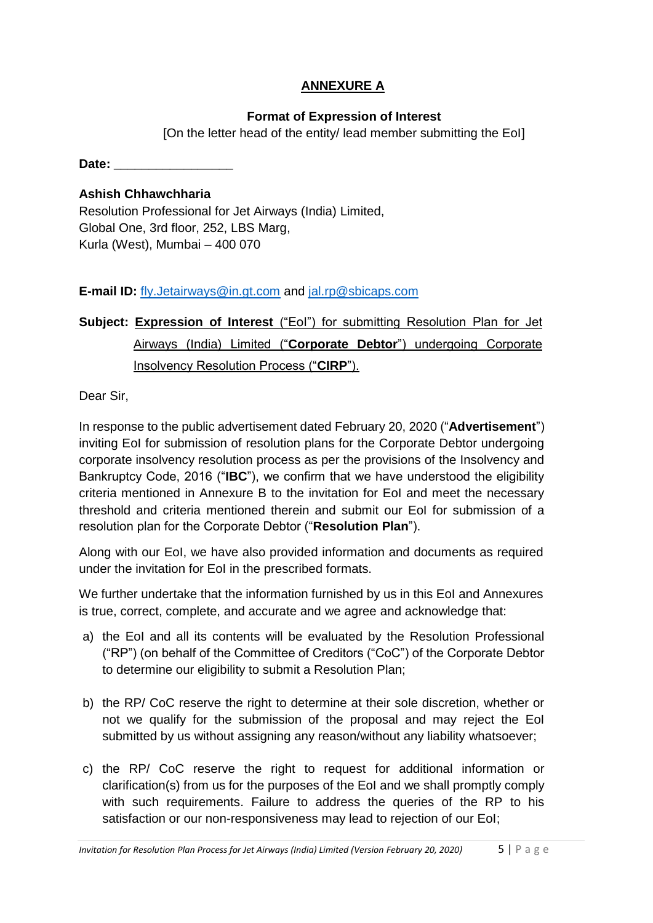# **ANNEXURE A**

# **Format of Expression of Interest**

[On the letter head of the entity/ lead member submitting the EoI]

**Date: \_\_\_\_\_\_\_\_\_\_\_\_\_\_\_\_\_**

### **Ashish Chhawchharia**

Resolution Professional for Jet Airways (India) Limited, Global One, 3rd floor, 252, LBS Marg, Kurla (West), Mumbai – 400 070

# **E-mail ID:** [fly.Jetairways@in.gt.com](mailto:fly.Jetairways@in.gt.com) and [jal.rp@sbicaps.com](mailto:jal.rp@sbicaps.com)

# **Subject: Expression of Interest** ("EoI") for submitting Resolution Plan for Jet Airways (India) Limited ("**Corporate Debtor**") undergoing Corporate Insolvency Resolution Process ("**CIRP**").

Dear Sir,

In response to the public advertisement dated February 20, 2020 ("**Advertisement**") inviting EoI for submission of resolution plans for the Corporate Debtor undergoing corporate insolvency resolution process as per the provisions of the Insolvency and Bankruptcy Code, 2016 ("**IBC**"), we confirm that we have understood the eligibility criteria mentioned in Annexure B to the invitation for EoI and meet the necessary threshold and criteria mentioned therein and submit our EoI for submission of a resolution plan for the Corporate Debtor ("**Resolution Plan**").

Along with our EoI, we have also provided information and documents as required under the invitation for EoI in the prescribed formats.

We further undertake that the information furnished by us in this EoI and Annexures is true, correct, complete, and accurate and we agree and acknowledge that:

- a) the EoI and all its contents will be evaluated by the Resolution Professional ("RP") (on behalf of the Committee of Creditors ("CoC") of the Corporate Debtor to determine our eligibility to submit a Resolution Plan;
- b) the RP/ CoC reserve the right to determine at their sole discretion, whether or not we qualify for the submission of the proposal and may reject the EoI submitted by us without assigning any reason/without any liability whatsoever;
- c) the RP/ CoC reserve the right to request for additional information or clarification(s) from us for the purposes of the EoI and we shall promptly comply with such requirements. Failure to address the queries of the RP to his satisfaction or our non-responsiveness may lead to rejection of our EoI;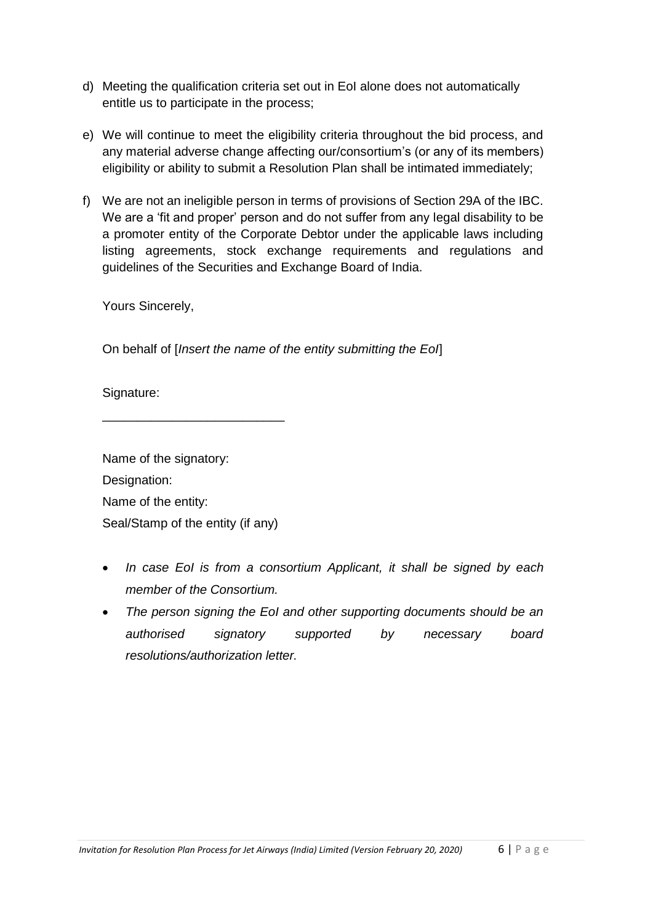- d) Meeting the qualification criteria set out in EoI alone does not automatically entitle us to participate in the process;
- e) We will continue to meet the eligibility criteria throughout the bid process, and any material adverse change affecting our/consortium's (or any of its members) eligibility or ability to submit a Resolution Plan shall be intimated immediately;
- f) We are not an ineligible person in terms of provisions of Section 29A of the IBC. We are a 'fit and proper' person and do not suffer from any legal disability to be a promoter entity of the Corporate Debtor under the applicable laws including listing agreements, stock exchange requirements and regulations and guidelines of the Securities and Exchange Board of India.

Yours Sincerely,

On behalf of [*Insert the name of the entity submitting the EoI*]

Signature:

Name of the signatory: Designation: Name of the entity: Seal/Stamp of the entity (if any)

\_\_\_\_\_\_\_\_\_\_\_\_\_\_\_\_\_\_\_\_\_\_\_\_\_\_

- *In case EoI is from a consortium Applicant, it shall be signed by each member of the Consortium.*
- *The person signing the EoI and other supporting documents should be an authorised signatory supported by necessary board resolutions/authorization letter.*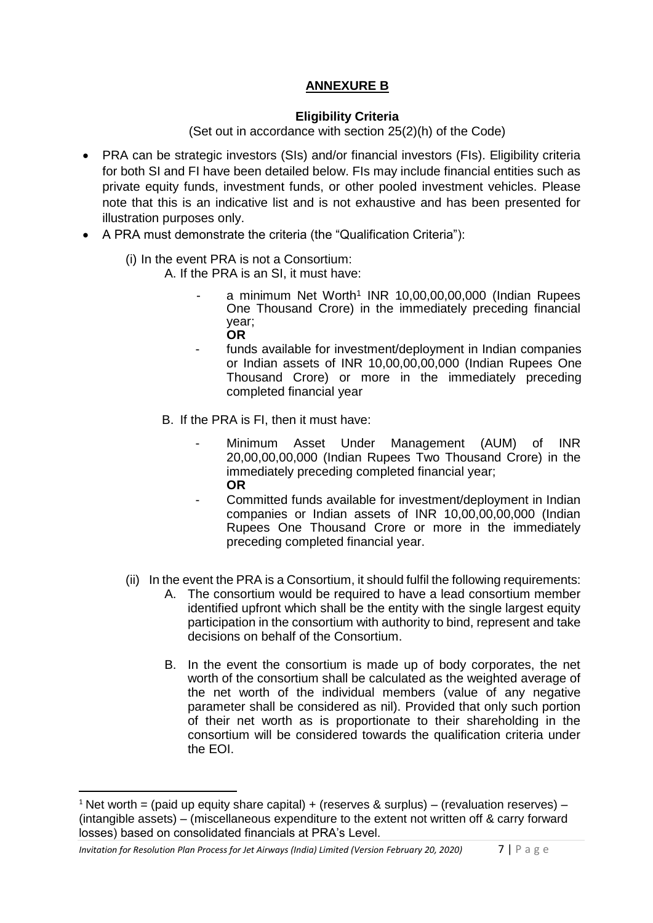# **ANNEXURE B**

#### **Eligibility Criteria**

(Set out in accordance with section 25(2)(h) of the Code)

- PRA can be strategic investors (SIs) and/or financial investors (FIs). Eligibility criteria for both SI and FI have been detailed below. FIs may include financial entities such as private equity funds, investment funds, or other pooled investment vehicles. Please note that this is an indicative list and is not exhaustive and has been presented for illustration purposes only.
- A PRA must demonstrate the criteria (the "Qualification Criteria"):
	- (i) In the event PRA is not a Consortium:
		- A. If the PRA is an SI, it must have:
			- a minimum Net Worth<sup>1</sup> INR 10,00,00,00,000 (Indian Rupees One Thousand Crore) in the immediately preceding financial year; **OR**
			- funds available for investment/deployment in Indian companies or Indian assets of INR 10,00,00,00,000 (Indian Rupees One Thousand Crore) or more in the immediately preceding completed financial year
			- B. If the PRA is FI, then it must have:
				- Minimum Asset Under Management (AUM) of INR 20,00,00,00,000 (Indian Rupees Two Thousand Crore) in the immediately preceding completed financial year; **OR**
				- Committed funds available for investment/deployment in Indian companies or Indian assets of INR 10,00,00,00,000 (Indian Rupees One Thousand Crore or more in the immediately preceding completed financial year.
	- (ii) In the event the PRA is a Consortium, it should fulfil the following requirements:
		- A. The consortium would be required to have a lead consortium member identified upfront which shall be the entity with the single largest equity participation in the consortium with authority to bind, represent and take decisions on behalf of the Consortium.
		- B. In the event the consortium is made up of body corporates, the net worth of the consortium shall be calculated as the weighted average of the net worth of the individual members (value of any negative parameter shall be considered as nil). Provided that only such portion of their net worth as is proportionate to their shareholding in the consortium will be considered towards the qualification criteria under the EOI.

 $\overline{\phantom{a}}$ 

<sup>&</sup>lt;sup>1</sup> Net worth = (paid up equity share capital) + (reserves & surplus) – (revaluation reserves) – (intangible assets) – (miscellaneous expenditure to the extent not written off & carry forward losses) based on consolidated financials at PRA's Level.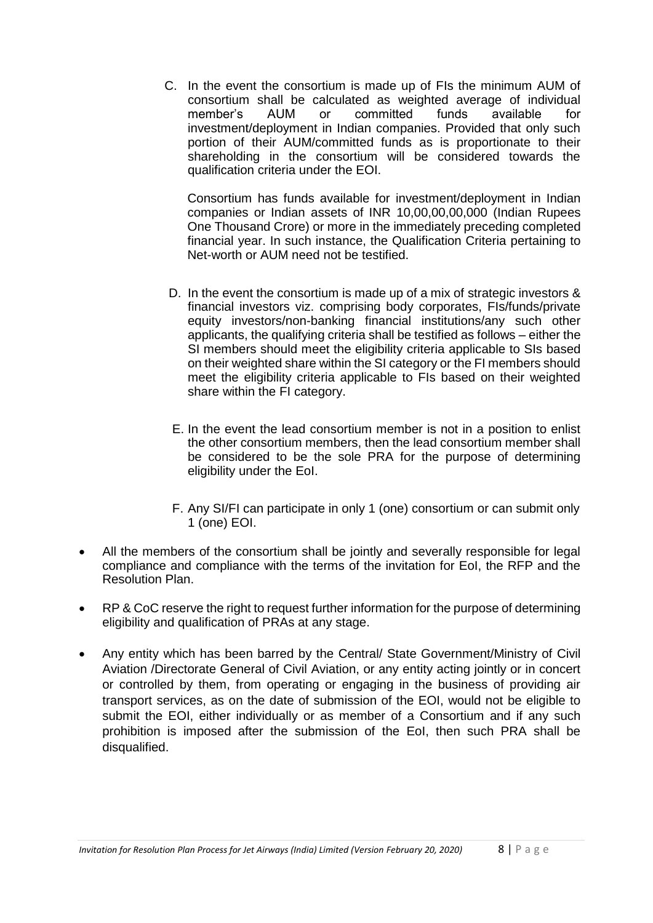C. In the event the consortium is made up of FIs the minimum AUM of consortium shall be calculated as weighted average of individual member's AUM or committed funds available for investment/deployment in Indian companies. Provided that only such portion of their AUM/committed funds as is proportionate to their shareholding in the consortium will be considered towards the qualification criteria under the EOI.

Consortium has funds available for investment/deployment in Indian companies or Indian assets of INR 10,00,00,00,000 (Indian Rupees One Thousand Crore) or more in the immediately preceding completed financial year. In such instance, the Qualification Criteria pertaining to Net-worth or AUM need not be testified.

- D. In the event the consortium is made up of a mix of strategic investors & financial investors viz. comprising body corporates, FIs/funds/private equity investors/non-banking financial institutions/any such other applicants, the qualifying criteria shall be testified as follows – either the SI members should meet the eligibility criteria applicable to SIs based on their weighted share within the SI category or the FI members should meet the eligibility criteria applicable to FIs based on their weighted share within the FI category.
- E. In the event the lead consortium member is not in a position to enlist the other consortium members, then the lead consortium member shall be considered to be the sole PRA for the purpose of determining eligibility under the EoI.
- F. Any SI/FI can participate in only 1 (one) consortium or can submit only 1 (one) EOI.
- All the members of the consortium shall be jointly and severally responsible for legal compliance and compliance with the terms of the invitation for EoI, the RFP and the Resolution Plan.
- RP & CoC reserve the right to request further information for the purpose of determining eligibility and qualification of PRAs at any stage.
- Any entity which has been barred by the Central/ State Government/Ministry of Civil Aviation /Directorate General of Civil Aviation, or any entity acting jointly or in concert or controlled by them, from operating or engaging in the business of providing air transport services, as on the date of submission of the EOI, would not be eligible to submit the EOI, either individually or as member of a Consortium and if any such prohibition is imposed after the submission of the EoI, then such PRA shall be disqualified.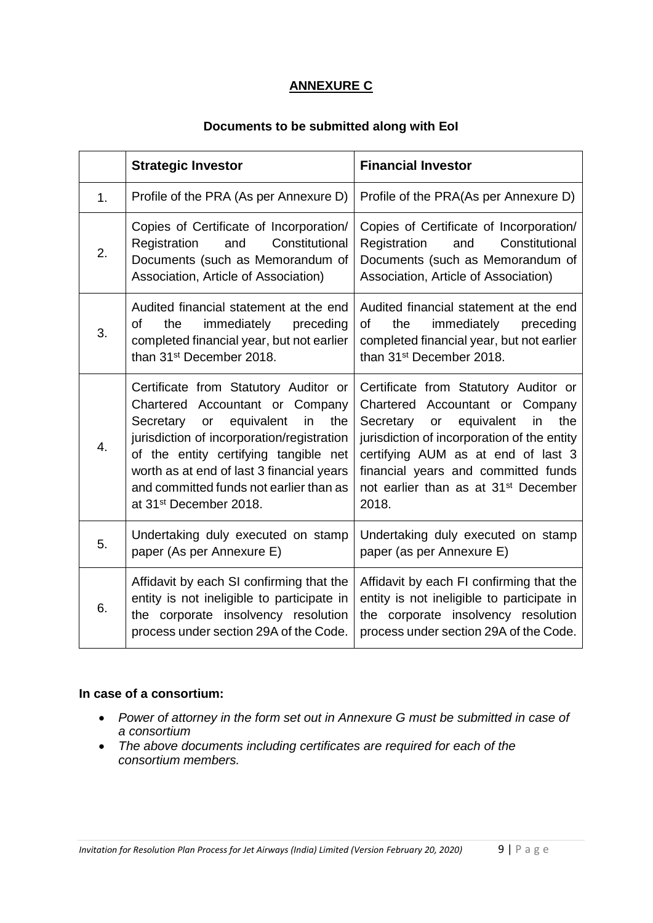# **ANNEXURE C**

### **Documents to be submitted along with EoI**

|    | <b>Strategic Investor</b>                                                                                                                                                                                                                                                                                                                 | <b>Financial Investor</b>                                                                                                                                                                                                                                                                                 |
|----|-------------------------------------------------------------------------------------------------------------------------------------------------------------------------------------------------------------------------------------------------------------------------------------------------------------------------------------------|-----------------------------------------------------------------------------------------------------------------------------------------------------------------------------------------------------------------------------------------------------------------------------------------------------------|
| 1. | Profile of the PRA (As per Annexure D)                                                                                                                                                                                                                                                                                                    | Profile of the PRA(As per Annexure D)                                                                                                                                                                                                                                                                     |
| 2. | Copies of Certificate of Incorporation/<br>Constitutional<br>Registration<br>and<br>Documents (such as Memorandum of<br>Association, Article of Association)                                                                                                                                                                              | Copies of Certificate of Incorporation/<br>Constitutional<br>Registration<br>and<br>Documents (such as Memorandum of<br>Association, Article of Association)                                                                                                                                              |
| 3. | Audited financial statement at the end<br>of<br>immediately<br>the<br>preceding<br>completed financial year, but not earlier<br>than 31 <sup>st</sup> December 2018.                                                                                                                                                                      | Audited financial statement at the end<br>immediately<br>of<br>the<br>preceding<br>completed financial year, but not earlier<br>than 31 <sup>st</sup> December 2018.                                                                                                                                      |
| 4. | Certificate from Statutory Auditor or<br>Chartered Accountant or Company<br>equivalent<br>Secretary or<br>in.<br>the<br>jurisdiction of incorporation/registration<br>of the entity certifying tangible net<br>worth as at end of last 3 financial years<br>and committed funds not earlier than as<br>at 31 <sup>st</sup> December 2018. | Certificate from Statutory Auditor or<br>Chartered Accountant or Company<br>Secretary or equivalent<br>the<br>in<br>jurisdiction of incorporation of the entity<br>certifying AUM as at end of last 3<br>financial years and committed funds<br>not earlier than as at 31 <sup>st</sup> December<br>2018. |
| 5. | Undertaking duly executed on stamp<br>paper (As per Annexure E)                                                                                                                                                                                                                                                                           | Undertaking duly executed on stamp<br>paper (as per Annexure E)                                                                                                                                                                                                                                           |
| 6. | Affidavit by each SI confirming that the<br>entity is not ineligible to participate in<br>the corporate insolvency resolution<br>process under section 29A of the Code.                                                                                                                                                                   | Affidavit by each FI confirming that the<br>entity is not ineligible to participate in<br>the corporate insolvency resolution<br>process under section 29A of the Code.                                                                                                                                   |

### **In case of a consortium:**

- *Power of attorney in the form set out in Annexure G must be submitted in case of a consortium*
- *The above documents including certificates are required for each of the consortium members.*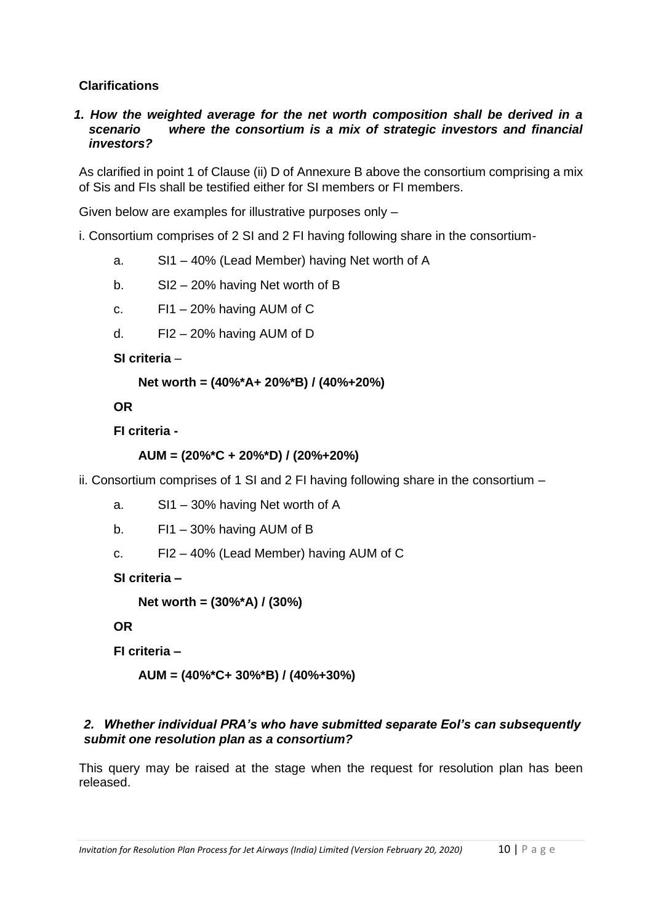### **Clarifications**

*1. How the weighted average for the net worth composition shall be derived in a scenario where the consortium is a mix of strategic investors and financial investors?*

As clarified in point 1 of Clause (ii) D of Annexure B above the consortium comprising a mix of Sis and FIs shall be testified either for SI members or FI members.

Given below are examples for illustrative purposes only –

i. Consortium comprises of 2 SI and 2 FI having following share in the consortium-

- a. SI1 40% (Lead Member) having Net worth of A
- b. SI2 20% having Net worth of B
- c. FI1 20% having AUM of C
- d. FI2 20% having AUM of D

**SI criteria** –

```
Net worth = (40%*A+ 20%*B) / (40%+20%)
```
**OR**

**FI criteria -**

```
AUM = (20%*C + 20%*D) / (20%+20%)
```
ii. Consortium comprises of 1 SI and 2 FI having following share in the consortium –

- a. SI1 30% having Net worth of A
- b. FI1 30% having AUM of B
- c. FI2 40% (Lead Member) having AUM of C

**SI criteria –**

**Net worth = (30%\*A) / (30%)**

**OR**

**FI criteria –**

**AUM = (40%\*C+ 30%\*B) / (40%+30%)**

### *2. Whether individual PRA's who have submitted separate EoI's can subsequently submit one resolution plan as a consortium?*

This query may be raised at the stage when the request for resolution plan has been released.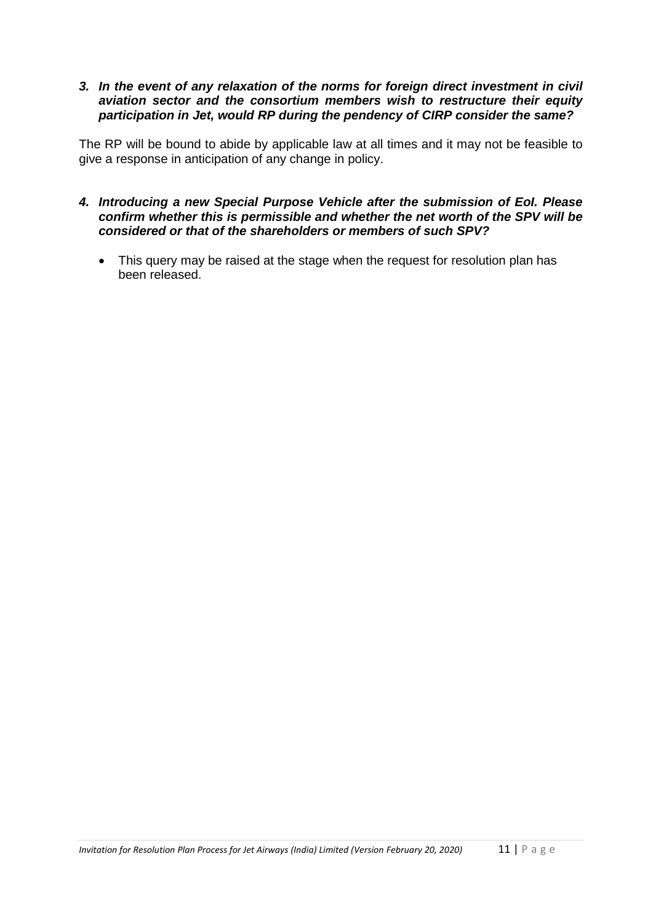#### *3. In the event of any relaxation of the norms for foreign direct investment in civil aviation sector and the consortium members wish to restructure their equity participation in Jet, would RP during the pendency of CIRP consider the same?*

The RP will be bound to abide by applicable law at all times and it may not be feasible to give a response in anticipation of any change in policy.

- *4. Introducing a new Special Purpose Vehicle after the submission of EoI. Please confirm whether this is permissible and whether the net worth of the SPV will be considered or that of the shareholders or members of such SPV?*
	- This query may be raised at the stage when the request for resolution plan has been released.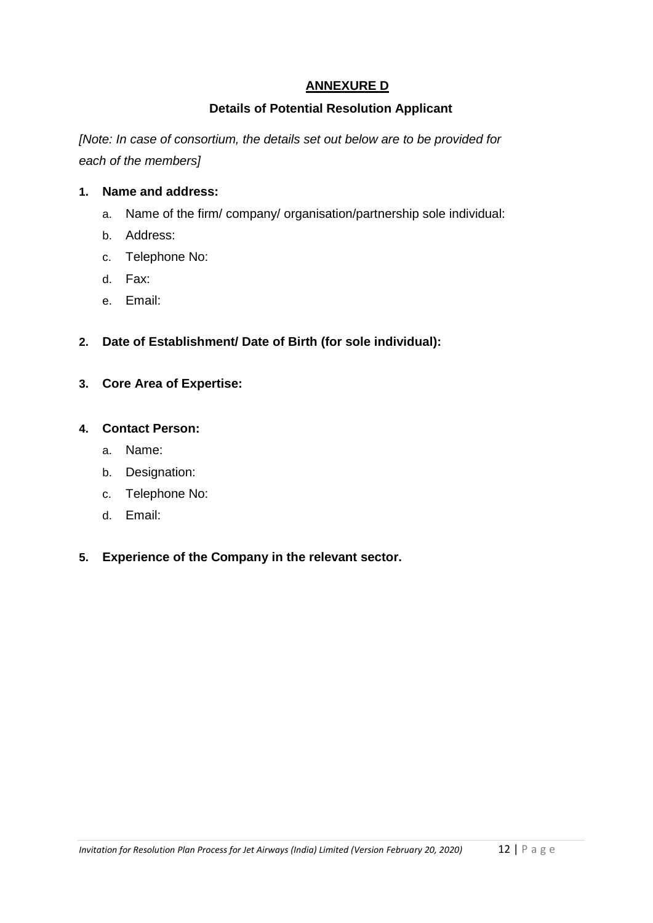# **ANNEXURE D**

### **Details of Potential Resolution Applicant**

*[Note: In case of consortium, the details set out below are to be provided for each of the members]*

#### **1. Name and address:**

- a. Name of the firm/ company/ organisation/partnership sole individual:
- b. Address:
- c. Telephone No:
- d. Fax:
- e. Email:

### **2. Date of Establishment/ Date of Birth (for sole individual):**

**3. Core Area of Expertise:**

#### **4. Contact Person:**

- a. Name:
- b. Designation:
- c. Telephone No:
- d. Email:

### **5. Experience of the Company in the relevant sector.**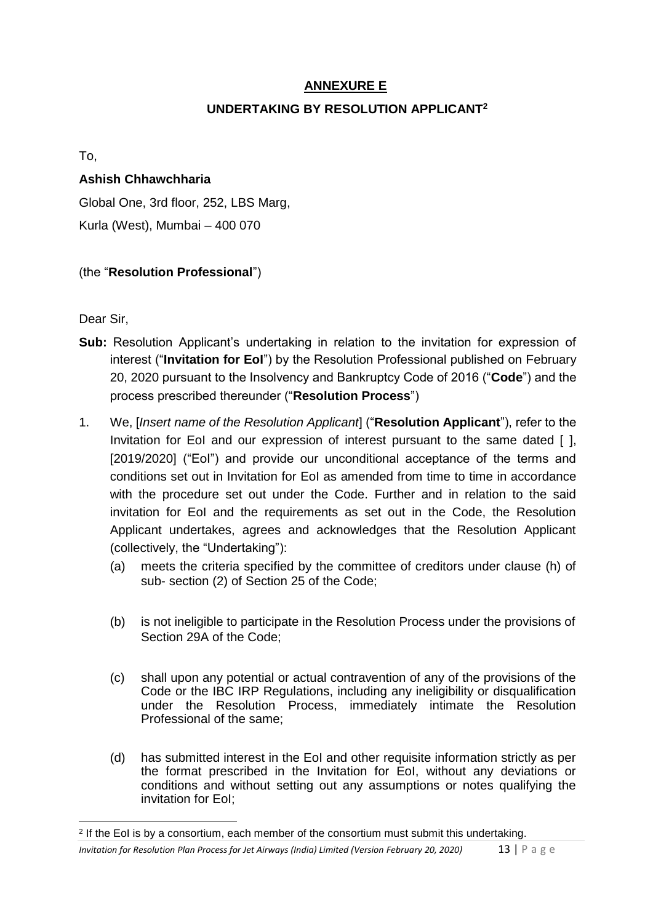# **ANNEXURE E**

# **UNDERTAKING BY RESOLUTION APPLICANT<sup>2</sup>**

To,

### **Ashish Chhawchharia**

Global One, 3rd floor, 252, LBS Marg, Kurla (West), Mumbai – 400 070

# (the "**Resolution Professional**")

Dear Sir,

**.** 

- **Sub:** Resolution Applicant's undertaking in relation to the invitation for expression of interest ("**Invitation for EoI**") by the Resolution Professional published on February 20, 2020 pursuant to the Insolvency and Bankruptcy Code of 2016 ("**Code**") and the process prescribed thereunder ("**Resolution Process**")
- 1. We, [*Insert name of the Resolution Applicant*] ("**Resolution Applicant**"), refer to the Invitation for EoI and our expression of interest pursuant to the same dated [ ], [2019/2020] ("Eol") and provide our unconditional acceptance of the terms and conditions set out in Invitation for EoI as amended from time to time in accordance with the procedure set out under the Code. Further and in relation to the said invitation for EoI and the requirements as set out in the Code, the Resolution Applicant undertakes, agrees and acknowledges that the Resolution Applicant (collectively, the "Undertaking"):
	- (a) meets the criteria specified by the committee of creditors under clause (h) of sub- section (2) of Section 25 of the Code;
	- (b) is not ineligible to participate in the Resolution Process under the provisions of Section 29A of the Code;
	- (c) shall upon any potential or actual contravention of any of the provisions of the Code or the IBC IRP Regulations, including any ineligibility or disqualification under the Resolution Process, immediately intimate the Resolution Professional of the same;
	- (d) has submitted interest in the EoI and other requisite information strictly as per the format prescribed in the Invitation for EoI, without any deviations or conditions and without setting out any assumptions or notes qualifying the invitation for EoI;

*Invitation for Resolution Plan Process for Jet Airways (India) Limited (Version February 20, 2020)* 13 | P a g e <sup>2</sup> If the EoI is by a consortium, each member of the consortium must submit this undertaking.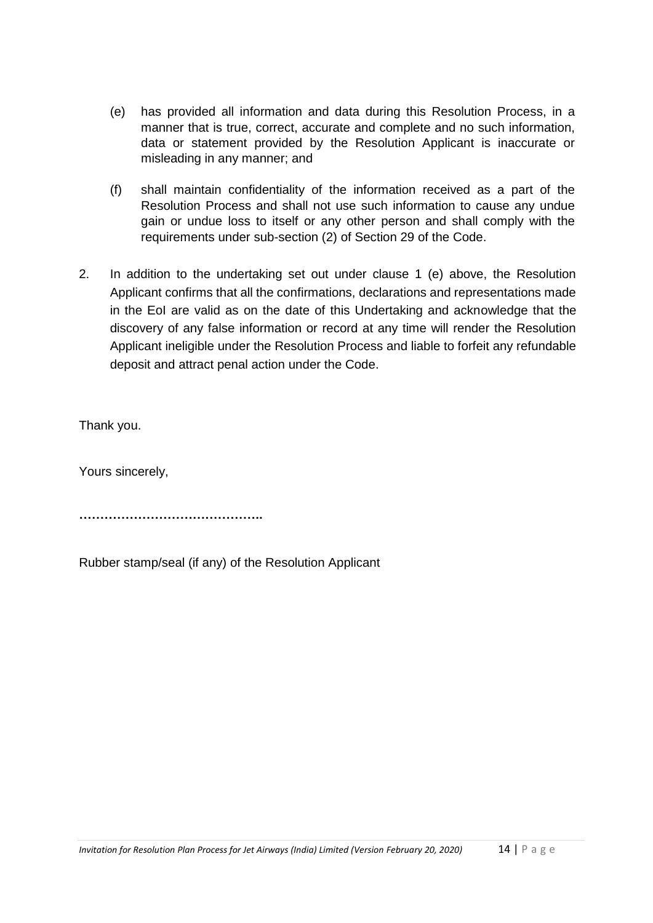- (e) has provided all information and data during this Resolution Process, in a manner that is true, correct, accurate and complete and no such information, data or statement provided by the Resolution Applicant is inaccurate or misleading in any manner; and
- (f) shall maintain confidentiality of the information received as a part of the Resolution Process and shall not use such information to cause any undue gain or undue loss to itself or any other person and shall comply with the requirements under sub-section (2) of Section 29 of the Code.
- 2. In addition to the undertaking set out under clause 1 (e) above, the Resolution Applicant confirms that all the confirmations, declarations and representations made in the EoI are valid as on the date of this Undertaking and acknowledge that the discovery of any false information or record at any time will render the Resolution Applicant ineligible under the Resolution Process and liable to forfeit any refundable deposit and attract penal action under the Code.

Thank you.

Yours sincerely,

**……………………………………..**

Rubber stamp/seal (if any) of the Resolution Applicant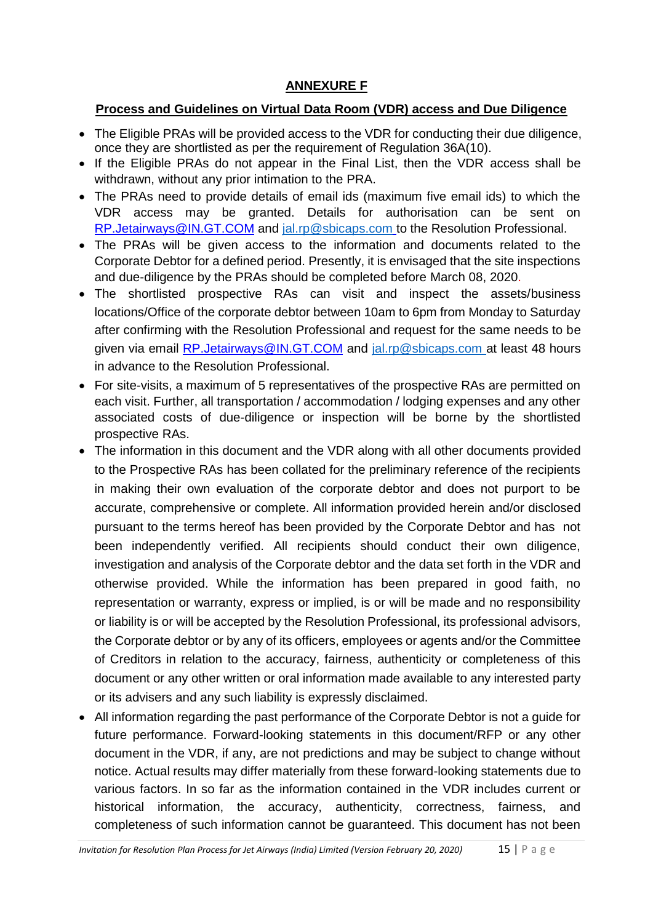# **ANNEXURE F**

# **Process and Guidelines on Virtual Data Room (VDR) access and Due Diligence**

- The Eligible PRAs will be provided access to the VDR for conducting their due diligence, once they are shortlisted as per the requirement of Regulation 36A(10).
- If the Eligible PRAs do not appear in the Final List, then the VDR access shall be withdrawn, without any prior intimation to the PRA.
- The PRAs need to provide details of email ids (maximum five email ids) to which the VDR access may be granted. Details for authorisation can be sent on RP.Jetairways@IN.GT.COM and [jal.rp@sbicaps.com](mailto:jal.rp@sbicaps.com) to the Resolution Professional.
- The PRAs will be given access to the information and documents related to the Corporate Debtor for a defined period. Presently, it is envisaged that the site inspections and due-diligence by the PRAs should be completed before March 08, 2020.
- The shortlisted prospective RAs can visit and inspect the assets/business locations/Office of the corporate debtor between 10am to 6pm from Monday to Saturday after confirming with the Resolution Professional and request for the same needs to be given via email RP.Jetairways@IN.GT.COM and [jal.rp@sbicaps.com](mailto:jal.rp@sbicaps.com) at least 48 hours in advance to the Resolution Professional.
- For site-visits, a maximum of 5 representatives of the prospective RAs are permitted on each visit. Further, all transportation / accommodation / lodging expenses and any other associated costs of due-diligence or inspection will be borne by the shortlisted prospective RAs.
- The information in this document and the VDR along with all other documents provided to the Prospective RAs has been collated for the preliminary reference of the recipients in making their own evaluation of the corporate debtor and does not purport to be accurate, comprehensive or complete. All information provided herein and/or disclosed pursuant to the terms hereof has been provided by the Corporate Debtor and has not been independently verified. All recipients should conduct their own diligence, investigation and analysis of the Corporate debtor and the data set forth in the VDR and otherwise provided. While the information has been prepared in good faith, no representation or warranty, express or implied, is or will be made and no responsibility or liability is or will be accepted by the Resolution Professional, its professional advisors, the Corporate debtor or by any of its officers, employees or agents and/or the Committee of Creditors in relation to the accuracy, fairness, authenticity or completeness of this document or any other written or oral information made available to any interested party or its advisers and any such liability is expressly disclaimed.
- All information regarding the past performance of the Corporate Debtor is not a guide for future performance. Forward-looking statements in this document/RFP or any other document in the VDR, if any, are not predictions and may be subject to change without notice. Actual results may differ materially from these forward-looking statements due to various factors. In so far as the information contained in the VDR includes current or historical information, the accuracy, authenticity, correctness, fairness, and completeness of such information cannot be guaranteed. This document has not been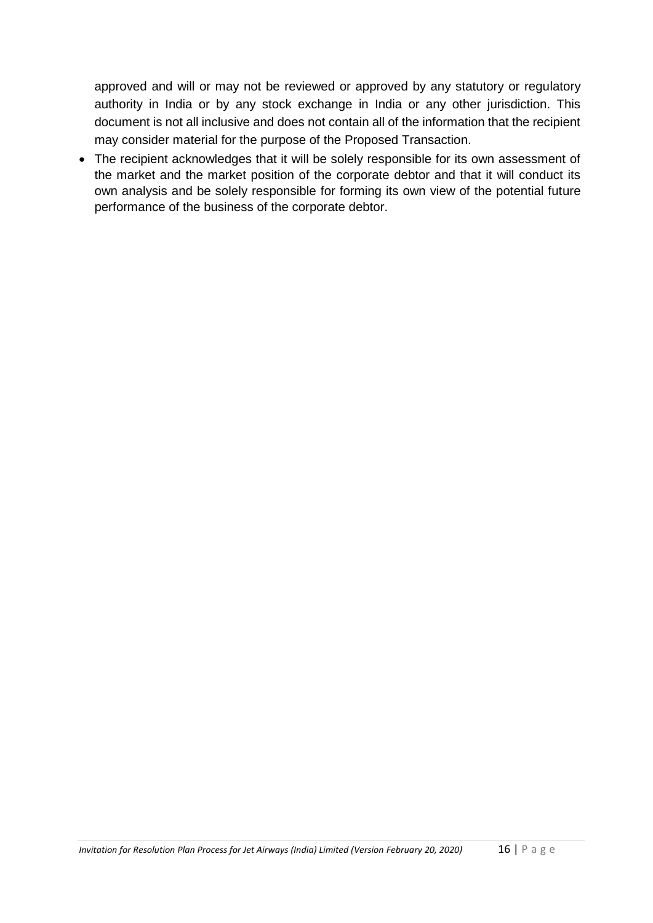approved and will or may not be reviewed or approved by any statutory or regulatory authority in India or by any stock exchange in India or any other jurisdiction. This document is not all inclusive and does not contain all of the information that the recipient may consider material for the purpose of the Proposed Transaction.

 The recipient acknowledges that it will be solely responsible for its own assessment of the market and the market position of the corporate debtor and that it will conduct its own analysis and be solely responsible for forming its own view of the potential future performance of the business of the corporate debtor.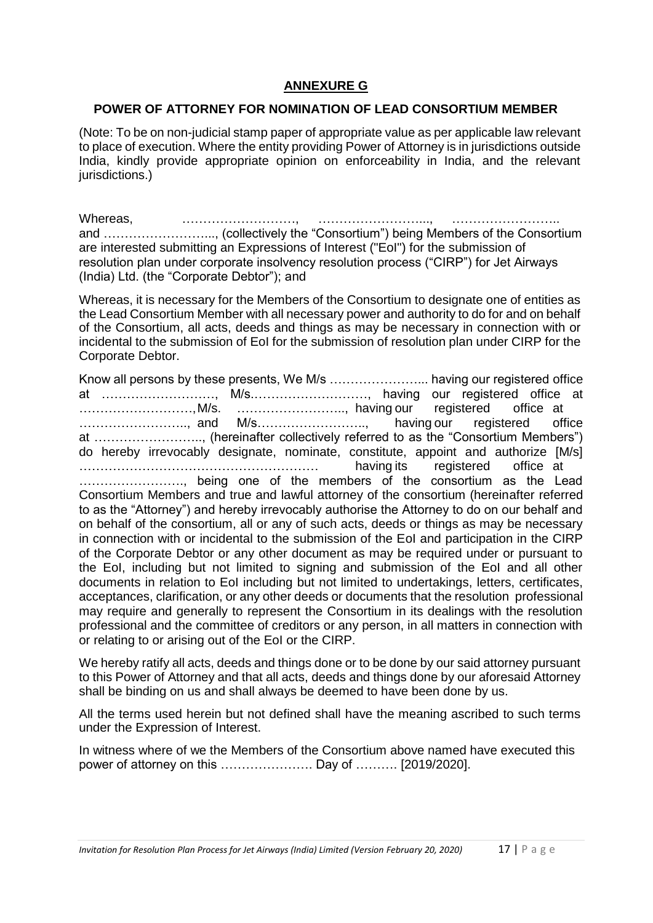### **ANNEXURE G**

#### **POWER OF ATTORNEY FOR NOMINATION OF LEAD CONSORTIUM MEMBER**

(Note: To be on non-judicial stamp paper of appropriate value as per applicable law relevant to place of execution. Where the entity providing Power of Attorney is in jurisdictions outside India, kindly provide appropriate opinion on enforceability in India, and the relevant jurisdictions.)

Whereas, …………………………, ………………………… and ……………………..., (collectively the "Consortium") being Members of the Consortium are interested submitting an Expressions of Interest ("EoI") for the submission of resolution plan under corporate insolvency resolution process ("CIRP") for Jet Airways (India) Ltd. (the "Corporate Debtor"); and

Whereas, it is necessary for the Members of the Consortium to designate one of entities as the Lead Consortium Member with all necessary power and authority to do for and on behalf of the Consortium, all acts, deeds and things as may be necessary in connection with or incidental to the submission of EoI for the submission of resolution plan under CIRP for the Corporate Debtor.

Know all persons by these presents, We M/s …………………... having our registered office at ………………………, M/s.………………………, having our registered office at ………………………,M/s. …………………….., having our registered office at …………………….., and M/s…………………….., having our registered office at …………………….., (hereinafter collectively referred to as the "Consortium Members") do hereby irrevocably designate, nominate, constitute, appoint and authorize [M/s] ………………………………………………… having its registered office at ……………………., being one of the members of the consortium as the Lead Consortium Members and true and lawful attorney of the consortium (hereinafter referred to as the "Attorney") and hereby irrevocably authorise the Attorney to do on our behalf and on behalf of the consortium, all or any of such acts, deeds or things as may be necessary in connection with or incidental to the submission of the EoI and participation in the CIRP of the Corporate Debtor or any other document as may be required under or pursuant to the EoI, including but not limited to signing and submission of the EoI and all other documents in relation to EoI including but not limited to undertakings, letters, certificates, acceptances, clarification, or any other deeds or documents that the resolution professional may require and generally to represent the Consortium in its dealings with the resolution professional and the committee of creditors or any person, in all matters in connection with or relating to or arising out of the EoI or the CIRP.

We hereby ratify all acts, deeds and things done or to be done by our said attorney pursuant to this Power of Attorney and that all acts, deeds and things done by our aforesaid Attorney shall be binding on us and shall always be deemed to have been done by us.

All the terms used herein but not defined shall have the meaning ascribed to such terms under the Expression of Interest.

In witness where of we the Members of the Consortium above named have executed this power of attorney on this …………………. Day of ………. [2019/2020].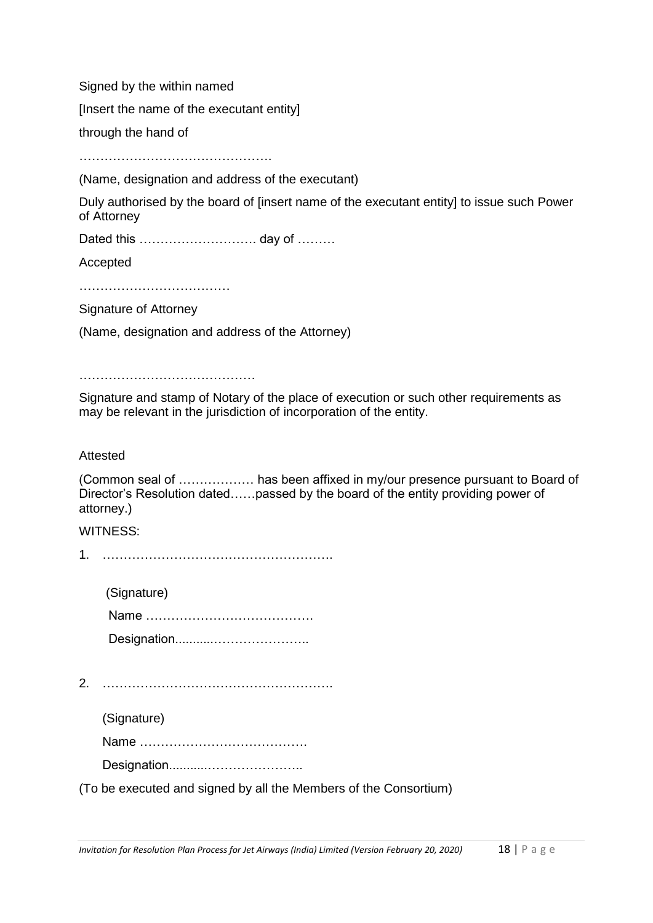Signed by the within named

[Insert the name of the executant entity]

through the hand of

……………………………………………………

(Name, designation and address of the executant)

Duly authorised by the board of [insert name of the executant entity] to issue such Power of Attorney

Dated this ………………………… day of ………

Accepted

……………………………………

Signature of Attorney

(Name, designation and address of the Attorney)

………………………………………………

Signature and stamp of Notary of the place of execution or such other requirements as may be relevant in the jurisdiction of incorporation of the entity.

#### Attested

(Common seal of ……………… has been affixed in my/our presence pursuant to Board of Director's Resolution dated……passed by the board of the entity providing power of attorney.)

#### WITNESS:

1. ……………………………………………….

(Signature) Name …………………………………. Designation...........…………………..

2. ……………………………………………….

(Signature)

Name ………………………………….

Designation...........…………………..

(To be executed and signed by all the Members of the Consortium)